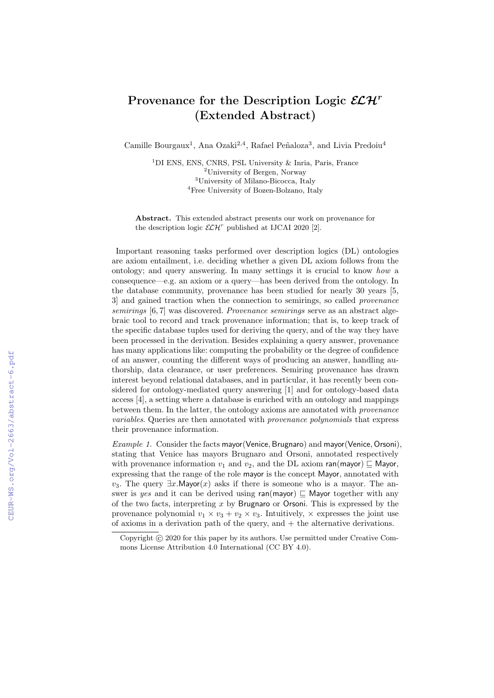## Provenance for the Description Logic  $\mathcal{ELH}^r$ (Extended Abstract)

Camille Bourgaux<sup>1</sup>, Ana Ozaki<sup>2,4</sup>, Rafael Peñaloza<sup>3</sup>, and Livia Predoiu<sup>4</sup>

<sup>1</sup>DI ENS, ENS, CNRS, PSL University & Inria, Paris, France University of Bergen, Norway University of Milano-Bicocca, Italy Free University of Bozen-Bolzano, Italy

Abstract. This extended abstract presents our work on provenance for the description logic  $\mathcal{E}\mathcal{L}\mathcal{H}^r$  published at IJCAI 2020 [2].

Important reasoning tasks performed over description logics (DL) ontologies are axiom entailment, i.e. deciding whether a given DL axiom follows from the ontology; and query answering. In many settings it is crucial to know how a consequence—e.g. an axiom or a query—has been derived from the ontology. In the database community, provenance has been studied for nearly 30 years [5, 3] and gained traction when the connection to semirings, so called provenance semirings [6,7] was discovered. Provenance semirings serve as an abstract algebraic tool to record and track provenance information; that is, to keep track of the specific database tuples used for deriving the query, and of the way they have been processed in the derivation. Besides explaining a query answer, provenance has many applications like: computing the probability or the degree of confidence of an answer, counting the different ways of producing an answer, handling authorship, data clearance, or user preferences. Semiring provenance has drawn interest beyond relational databases, and in particular, it has recently been considered for ontology-mediated query answering [1] and for ontology-based data access [4], a setting where a database is enriched with an ontology and mappings between them. In the latter, the ontology axioms are annotated with provenance variables. Queries are then annotated with provenance polynomials that express their provenance information.

Example 1. Consider the facts mayor (Venice, Brugnaro) and mayor (Venice, Orsoni), stating that Venice has mayors Brugnaro and Orsoni, annotated respectively with provenance information  $v_1$  and  $v_2$ , and the DL axiom ran(mayor)  $\sqsubseteq$  Mayor, expressing that the range of the role mayor is the concept Mayor, annotated with v<sub>3</sub>. The query  $\exists x \cdot \text{Mayor}(x)$  asks if there is someone who is a mayor. The answer is yes and it can be derived using  $ran(mayor) \sqsubseteq$  Mayor together with any of the two facts, interpreting x by Brugnaro or Orsoni. This is expressed by the provenance polynomial  $v_1 \times v_3 + v_2 \times v_3$ . Intuitively,  $\times$  expresses the joint use of axioms in a derivation path of the query, and  $+$  the alternative derivations.

Copyright  $\odot$  2020 for this paper by its authors. Use permitted under Creative Commons License Attribution 4.0 International (CC BY 4.0).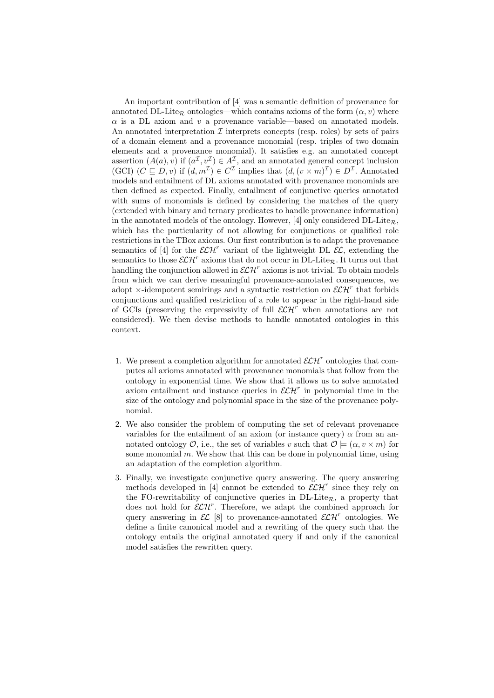An important contribution of [4] was a semantic definition of provenance for annotated DL-Lite<sub>R</sub> ontologies—which contains axioms of the form  $(\alpha, v)$  where  $\alpha$  is a DL axiom and v a provenance variable—based on annotated models. An annotated interpretation  $\mathcal I$  interprets concepts (resp. roles) by sets of pairs of a domain element and a provenance monomial (resp. triples of two domain elements and a provenance monomial). It satisfies e.g. an annotated concept assertion  $(A(a), v)$  if  $(a^{\mathcal{I}}, v^{\mathcal{I}}) \in A^{\mathcal{I}}$ , and an annotated general concept inclusion (GCI)  $(C \sqsubseteq D, v)$  if  $(d, m^{\mathcal{I}}) \in C^{\mathcal{I}}$  implies that  $(d, (v \times m)^{\mathcal{I}}) \in D^{\mathcal{I}}$ . Annotated models and entailment of DL axioms annotated with provenance monomials are then defined as expected. Finally, entailment of conjunctive queries annotated with sums of monomials is defined by considering the matches of the query (extended with binary and ternary predicates to handle provenance information) in the annotated models of the ontology. However, [4] only considered  $DL\text{-}Lite_{\mathcal{R}}$ , which has the particularity of not allowing for conjunctions or qualified role restrictions in the TBox axioms. Our first contribution is to adapt the provenance semantics of [4] for the  $\mathcal{ELH}^r$  variant of the lightweight DL  $\mathcal{EL}$ , extending the semantics to those  $\mathcal{ELH}^r$  axioms that do not occur in  $DL\text{-}Lie_R$ . It turns out that handling the conjunction allowed in  $\mathcal{ELH}^r$  axioms is not trivial. To obtain models from which we can derive meaningful provenance-annotated consequences, we adopt  $\times$ -idempotent semirings and a syntactic restriction on  $\mathcal{LH}^r$  that forbids conjunctions and qualified restriction of a role to appear in the right-hand side of GCIs (preserving the expressivity of full  $\mathcal{LH}^r$  when annotations are not considered). We then devise methods to handle annotated ontologies in this context.

- 1. We present a completion algorithm for annotated  $\mathcal{ELH}^r$  ontologies that computes all axioms annotated with provenance monomials that follow from the ontology in exponential time. We show that it allows us to solve annotated axiom entailment and instance queries in  $\mathcal{ELH}^r$  in polynomial time in the size of the ontology and polynomial space in the size of the provenance polynomial.
- 2. We also consider the problem of computing the set of relevant provenance variables for the entailment of an axiom (or instance query)  $\alpha$  from an annotated ontology  $\mathcal{O}$ , i.e., the set of variables v such that  $\mathcal{O} \models (\alpha, v \times m)$  for some monomial  $m$ . We show that this can be done in polynomial time, using an adaptation of the completion algorithm.
- 3. Finally, we investigate conjunctive query answering. The query answering methods developed in [4] cannot be extended to  $\mathcal{ELH}^r$  since they rely on the FO-rewritability of conjunctive queries in  $DL\text{-}Lie_{\mathcal{R}}$ , a property that does not hold for  $\mathcal{ELH}^r$ . Therefore, we adapt the combined approach for query answering in  $\mathcal{EL}$  [8] to provenance-annotated  $\mathcal{ELH}^r$  ontologies. We define a finite canonical model and a rewriting of the query such that the ontology entails the original annotated query if and only if the canonical model satisfies the rewritten query.